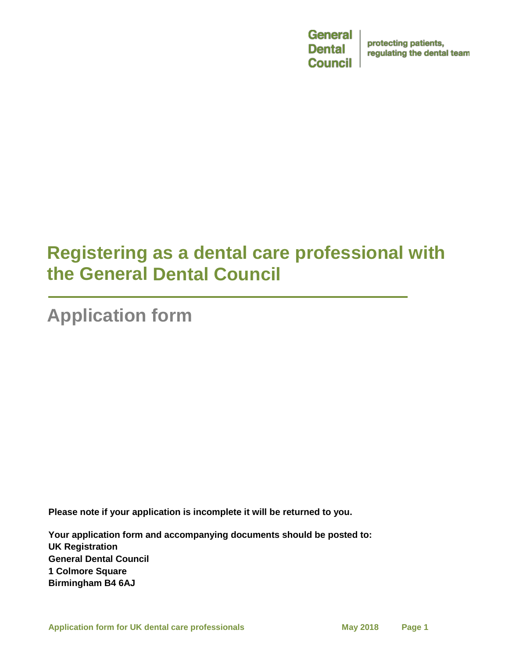

protecting patients, regulating the dental team

# **Registering as a dental care professional with the General Dental Council**

**Application form**

**Please note if your application is incomplete it will be returned to you.**

**Your application form and accompanying documents should be posted to: UK Registration General Dental Council 1 Colmore Square Birmingham B4 6AJ**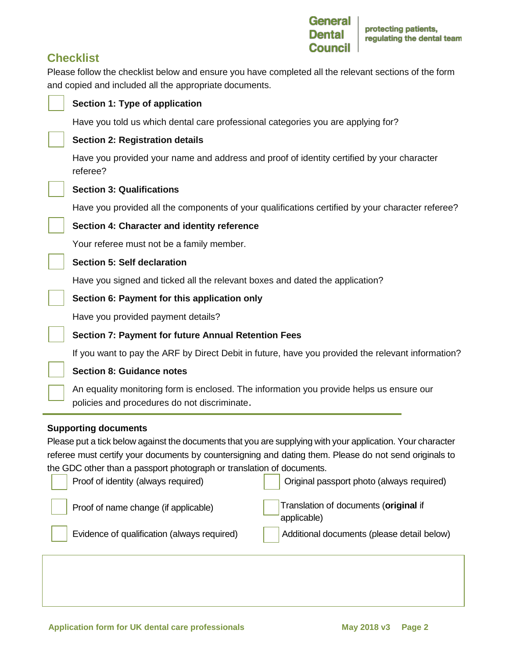### General **Dental Council**

### **Checklist**

Please follow the checklist below and ensure you have completed all the relevant sections of the form and copied and included all the appropriate documents.

| Section 1: Type of application                                                                                                                                                  |
|---------------------------------------------------------------------------------------------------------------------------------------------------------------------------------|
| Have you told us which dental care professional categories you are applying for?                                                                                                |
| <b>Section 2: Registration details</b>                                                                                                                                          |
| Have you provided your name and address and proof of identity certified by your character<br>referee?                                                                           |
| <b>Section 3: Qualifications</b>                                                                                                                                                |
| Have you provided all the components of your qualifications certified by your character referee?                                                                                |
| Section 4: Character and identity reference                                                                                                                                     |
| Your referee must not be a family member.                                                                                                                                       |
| <b>Section 5: Self declaration</b>                                                                                                                                              |
| Have you signed and ticked all the relevant boxes and dated the application?                                                                                                    |
| Section 6: Payment for this application only                                                                                                                                    |
| Have you provided payment details?                                                                                                                                              |
| <b>Section 7: Payment for future Annual Retention Fees</b>                                                                                                                      |
| If you want to pay the ARF by Direct Debit in future, have you provided the relevant information?                                                                               |
| <b>Section 8: Guidance notes</b>                                                                                                                                                |
| An equality monitoring form is enclosed. The information you provide helps us ensure our<br>policies and procedures do not discriminate.                                        |
| <b>Supporting documents</b>                                                                                                                                                     |
| Please put a tick below against the documents that you are supplying with your application. Your character                                                                      |
| referee must certify your documents by countersigning and dating them. Please do not send originals to<br>the GDC other than a passport photograph or translation of documents. |
| Proof of identity (always required)<br>Original passport photo (always required)                                                                                                |

Proof of name change (if applicable) Translation of documents (**original** if applicable) Evidence of qualification (always required) | Additional documents (please detail below)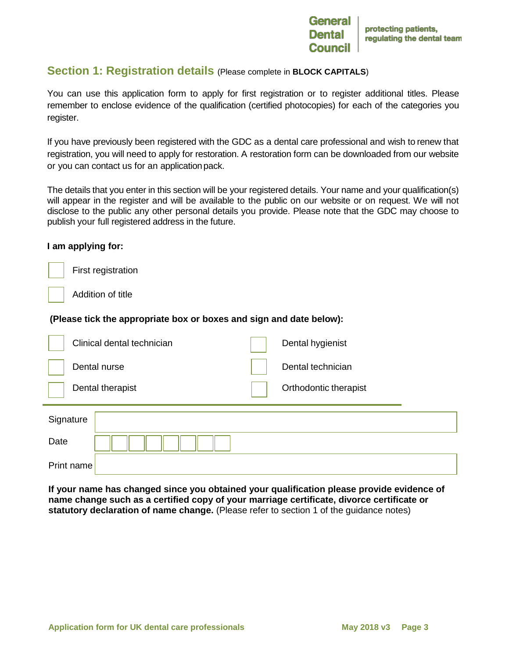### General **Dental Council**

### **Section 1: Registration details** (Please complete in **BLOCK CAPITALS**)

You can use this application form to apply for first registration or to register additional titles. Please remember to enclose evidence of the qualification (certified photocopies) for each of the categories you register.

If you have previously been registered with the GDC as a dental care professional and wish to renew that registration, you will need to apply for restoration. A restoration form can be downloaded from our website or you can contact us for an applicationpack.

The details that you enter in this section will be your registered details. Your name and your qualification(s) will appear in the register and will be available to the public on our website or on request. We will not disclose to the public any other personal details you provide. Please note that the GDC may choose to publish your full registered address in the future.

### **I am applying for:**

First registration

Addition of title

### **(Please tick the appropriate box or boxes and sign and date below):**

| Clinical dental technician | Dental hygienist      |
|----------------------------|-----------------------|
| Dental nurse               | Dental technician     |
| Dental therapist           | Orthodontic therapist |
| Signature                  |                       |
| Date                       |                       |
| Print name                 |                       |

**If your name has changed since you obtained your qualification please provide evidence of name change such as a certified copy of your marriage certificate, divorce certificate or statutory declaration of name change.** (Please refer to section 1 of the guidance notes)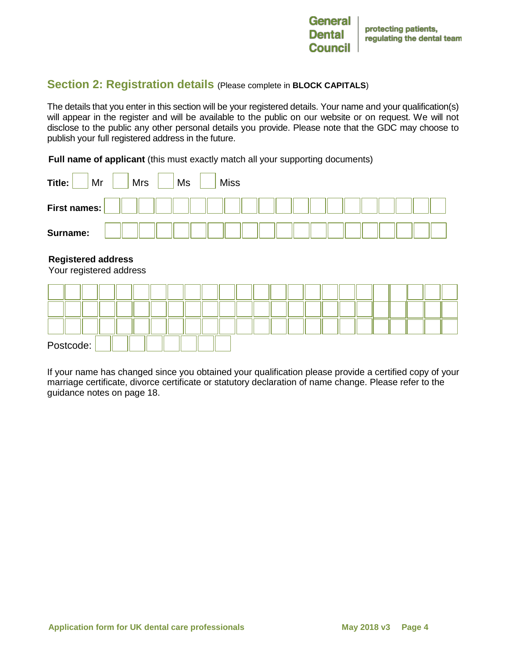

### **Section 2: Registration details** (Please complete in **BLOCK CAPITALS**)

The details that you enter in this section will be your registered details. Your name and your qualification(s) will appear in the register and will be available to the public on our website or on request. We will not disclose to the public any other personal details you provide. Please note that the GDC may choose to publish your full registered address in the future.

**Full name of applicant** (this must exactly match all your supporting documents)

| Title:<br>Mr              | <b>Mrs</b> | Ms | <b>Miss</b> |  |  |  |  |  |  |
|---------------------------|------------|----|-------------|--|--|--|--|--|--|
| First names:              |            |    |             |  |  |  |  |  |  |
| Surname:                  |            |    |             |  |  |  |  |  |  |
| <b>Registered address</b> |            |    |             |  |  |  |  |  |  |

Your registered address

| Postcode: |  |  |  |  |  |  |  |  |  |  |  |
|-----------|--|--|--|--|--|--|--|--|--|--|--|

If your name has changed since you obtained your qualification please provide a certified copy of your marriage certificate, divorce certificate or statutory declaration of name change. Please refer to the guidance notes on page 18.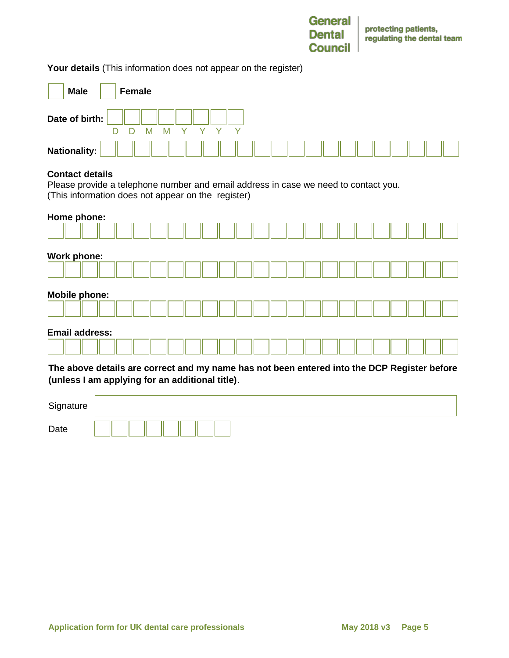

**Your details** (This information does not appear on the register)

| <b>Male</b><br><b>Female</b>              |
|-------------------------------------------|
| Date of birth: $\vert$<br>D D M M Y Y Y Y |
| Nationality:                              |

#### **Contact details**

Please provide a telephone number and email address in case we need to contact you. (This information does not appear on the register)

| Home phone:           |  |  |  |  |  |  |  |  |  |  |
|-----------------------|--|--|--|--|--|--|--|--|--|--|
| <b>Work phone:</b>    |  |  |  |  |  |  |  |  |  |  |
|                       |  |  |  |  |  |  |  |  |  |  |
| <b>Mobile phone:</b>  |  |  |  |  |  |  |  |  |  |  |
|                       |  |  |  |  |  |  |  |  |  |  |
| <b>Email address:</b> |  |  |  |  |  |  |  |  |  |  |

**The above details are correct and my name has not been entered into the DCP Register before (unless I am applying for an additional title)**.

| Signature |  |
|-----------|--|
| Date      |  |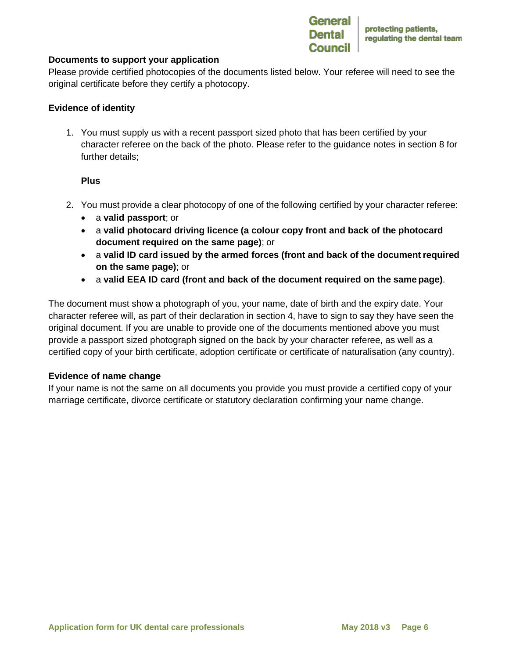### **Documents to support your application**

Please provide certified photocopies of the documents listed below. Your referee will need to see the original certificate before they certify a photocopy.

### **Evidence of identity**

1. You must supply us with a recent passport sized photo that has been certified by your character referee on the back of the photo. Please refer to the guidance notes in section 8 for further details;

### **Plus**

- 2. You must provide a clear photocopy of one of the following certified by your character referee:
	- a **valid passport**; or
	- a **valid photocard driving licence (a colour copy front and back of the photocard document required on the same page)**; or
	- a **valid ID card issued by the armed forces (front and back of the document required on the same page)**; or
	- a **valid EEA ID card (front and back of the document required on the same page)**.

The document must show a photograph of you, your name, date of birth and the expiry date. Your character referee will, as part of their declaration in section 4, have to sign to say they have seen the original document. If you are unable to provide one of the documents mentioned above you must provide a passport sized photograph signed on the back by your character referee, as well as a certified copy of your birth certificate, adoption certificate or certificate of naturalisation (any country).

### **Evidence of name change**

If your name is not the same on all documents you provide you must provide a certified copy of your marriage certificate, divorce certificate or statutory declaration confirming your name change.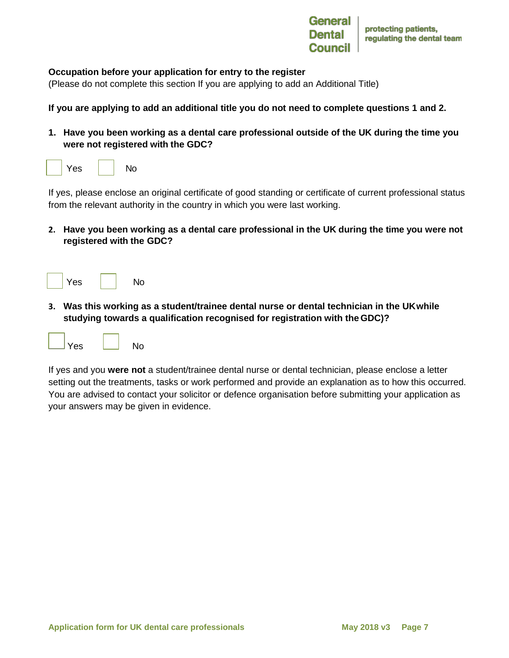

### **Occupation before your application for entry to the register**

(Please do not complete this section If you are applying to add an Additional Title)

### **If you are applying to add an additional title you do not need to complete questions 1 and 2.**

**1. Have you been working as a dental care professional outside of the UK during the time you were not registered with the GDC?**



If yes, please enclose an original certificate of good standing or certificate of current professional status from the relevant authority in the country in which you were last working.

**2. Have you been working as a dental care professional in the UK during the time you were not registered with the GDC?**



**3. Was this working as a student/trainee dental nurse or dental technician in the UKwhile studying towards a qualification recognised for registration with the GDC)?**



If yes and you **were not** a student/trainee dental nurse or dental technician, please enclose a letter setting out the treatments, tasks or work performed and provide an explanation as to how this occurred. You are advised to contact your solicitor or defence organisation before submitting your application as your answers may be given in evidence.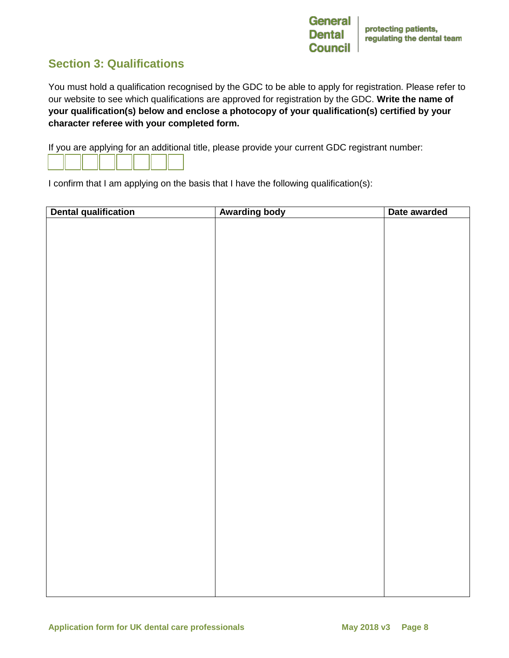

### **Section 3: Qualifications**

You must hold a qualification recognised by the GDC to be able to apply for registration. Please refer to our website to see which qualifications are approved for registration by the GDC. **Write the name of your qualification(s) below and enclose a photocopy of your qualification(s) certified by your character referee with your completed form.**

If you are applying for an additional title, please provide your current GDC registrant number:



I confirm that I am applying on the basis that I have the following qualification(s):

| <b>Dental qualification</b> | <b>Awarding body</b> | Date awarded |
|-----------------------------|----------------------|--------------|
|                             |                      |              |
|                             |                      |              |
|                             |                      |              |
|                             |                      |              |
|                             |                      |              |
|                             |                      |              |
|                             |                      |              |
|                             |                      |              |
|                             |                      |              |
|                             |                      |              |
|                             |                      |              |
|                             |                      |              |
|                             |                      |              |
|                             |                      |              |
|                             |                      |              |
|                             |                      |              |
|                             |                      |              |
|                             |                      |              |
|                             |                      |              |
|                             |                      |              |
|                             |                      |              |
|                             |                      |              |
|                             |                      |              |
|                             |                      |              |
|                             |                      |              |
|                             |                      |              |
|                             |                      |              |
|                             |                      |              |
|                             |                      |              |
|                             |                      |              |
|                             |                      |              |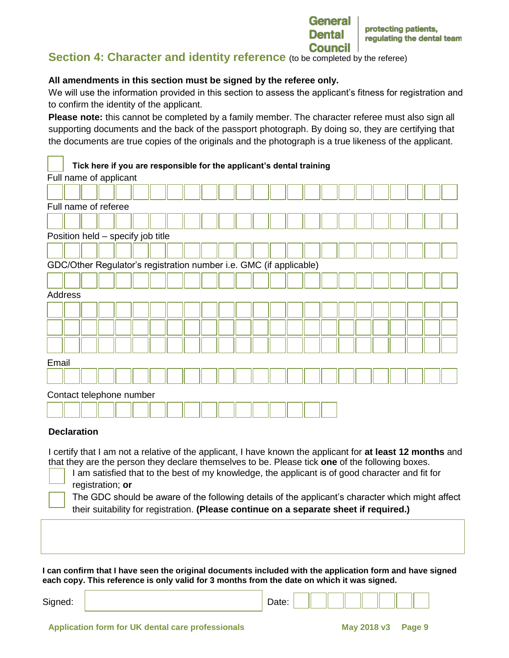## General Council

### **Section 4: Character and identity reference** (to be completed by the referee)

### **All amendments in this section must be signed by the referee only.**

h

We will use the information provided in this section to assess the applicant's fitness for registration and to confirm the identity of the applicant.

**Please note:** this cannot be completed by a family member. The character referee must also sign all supporting documents and the back of the passport photograph. By doing so, they are certifying that the documents are true copies of the originals and the photograph is a true likeness of the applicant.

|       | Tick here if you are responsible for the applicant's dental training |  |  |  |  |  |  |  |  |  |  |  |  |  |  |  |  |  |                                                                                                                   |
|-------|----------------------------------------------------------------------|--|--|--|--|--|--|--|--|--|--|--|--|--|--|--|--|--|-------------------------------------------------------------------------------------------------------------------|
|       | Full name of applicant                                               |  |  |  |  |  |  |  |  |  |  |  |  |  |  |  |  |  |                                                                                                                   |
|       |                                                                      |  |  |  |  |  |  |  |  |  |  |  |  |  |  |  |  |  |                                                                                                                   |
|       | Full name of referee                                                 |  |  |  |  |  |  |  |  |  |  |  |  |  |  |  |  |  |                                                                                                                   |
|       |                                                                      |  |  |  |  |  |  |  |  |  |  |  |  |  |  |  |  |  |                                                                                                                   |
|       | Position held - specify job title                                    |  |  |  |  |  |  |  |  |  |  |  |  |  |  |  |  |  |                                                                                                                   |
|       |                                                                      |  |  |  |  |  |  |  |  |  |  |  |  |  |  |  |  |  |                                                                                                                   |
|       | GDC/Other Regulator's registration number i.e. GMC (if applicable)   |  |  |  |  |  |  |  |  |  |  |  |  |  |  |  |  |  |                                                                                                                   |
|       |                                                                      |  |  |  |  |  |  |  |  |  |  |  |  |  |  |  |  |  |                                                                                                                   |
|       | Address                                                              |  |  |  |  |  |  |  |  |  |  |  |  |  |  |  |  |  |                                                                                                                   |
|       |                                                                      |  |  |  |  |  |  |  |  |  |  |  |  |  |  |  |  |  |                                                                                                                   |
|       |                                                                      |  |  |  |  |  |  |  |  |  |  |  |  |  |  |  |  |  |                                                                                                                   |
|       |                                                                      |  |  |  |  |  |  |  |  |  |  |  |  |  |  |  |  |  |                                                                                                                   |
| Email |                                                                      |  |  |  |  |  |  |  |  |  |  |  |  |  |  |  |  |  |                                                                                                                   |
|       |                                                                      |  |  |  |  |  |  |  |  |  |  |  |  |  |  |  |  |  |                                                                                                                   |
|       | Contact telephone number                                             |  |  |  |  |  |  |  |  |  |  |  |  |  |  |  |  |  |                                                                                                                   |
|       |                                                                      |  |  |  |  |  |  |  |  |  |  |  |  |  |  |  |  |  |                                                                                                                   |
|       | <b>Declaration</b>                                                   |  |  |  |  |  |  |  |  |  |  |  |  |  |  |  |  |  |                                                                                                                   |
|       |                                                                      |  |  |  |  |  |  |  |  |  |  |  |  |  |  |  |  |  | I certify that I am not a relative of the applicant. I have known the applicant for <b>at least 12 months</b> and |

I certify that I am not a relative of the applicant, I have known the applicant for **at least 12 months** and that they are the person they declare themselves to be. Please tick **one** of the following boxes.

I am satisfied that to the best of my knowledge, the applicant is of good character and fit for registration; **or**

The GDC should be aware of the following details of the applicant's character which might affect their suitability for registration. **(Please continue on a separate sheet if required.)**

> ПF ПĒ

**I can confirm that I have seen the original documents included with the application form and have signed each copy. This reference is only valid for 3 months from the date on which it was signed.**

| Signed: | Duw. |  |  |  |  |
|---------|------|--|--|--|--|
|         |      |  |  |  |  |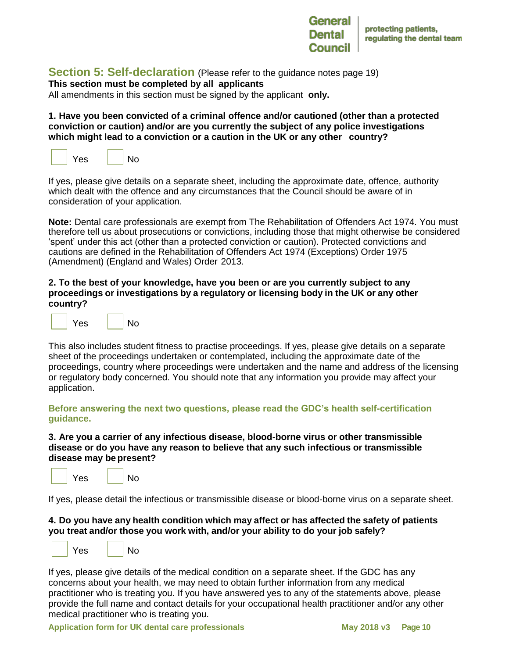

**Section 5: Self-declaration** (Please refer to the guidance notes page 19) **This section must be completed by all applicants**

All amendments in this section must be signed by the applicant **only.**

### **1. Have you been convicted of a criminal offence and/or cautioned (other than a protected conviction or caution) and/or are you currently the subject of any police investigations which might lead to a conviction or a caution in the UK or any other country?**



If yes, please give details on a separate sheet, including the approximate date, offence, authority which dealt with the offence and any circumstances that the Council should be aware of in consideration of your application.

**Note:** Dental care professionals are exempt from The Rehabilitation of Offenders Act 1974. You must therefore tell us about prosecutions or convictions, including those that might otherwise be considered 'spent' under this act (other than a protected conviction or caution). Protected convictions and cautions are defined in the Rehabilitation of Offenders Act 1974 (Exceptions) Order 1975 (Amendment) (England and Wales) Order 2013.

### **2. To the best of your knowledge, have you been or are you currently subject to any proceedings or investigations by a regulatory or licensing body in the UK or any other country?**



This also includes student fitness to practise proceedings. If yes, please give details on a separate sheet of the proceedings undertaken or contemplated, including the approximate date of the proceedings, country where proceedings were undertaken and the name and address of the licensing or regulatory body concerned. You should note that any information you provide may affect your application.

### **Before answering the next two questions, please read the GDC's health self-certification guidance.**

### **3. Are you a carrier of any infectious disease, blood-borne virus or other transmissible disease or do you have any reason to believe that any such infectious or transmissible disease may be present?**



|  | Nc |
|--|----|
|  |    |

If yes, please detail the infectious or transmissible disease or blood-borne virus on a separate sheet.

### **4. Do you have any health condition which may affect or has affected the safety of patients you treat and/or those you work with, and/or your ability to do your job safely?**

 $Yes \t | No$ 

If yes, please give details of the medical condition on a separate sheet. If the GDC has any concerns about your health, we may need to obtain further information from any medical practitioner who is treating you. If you have answered yes to any of the statements above, please provide the full name and contact details for your occupational health practitioner and/or any other medical practitioner who is treating you.

**Application form for UK dental care professionals May 2018 v3 Page 10**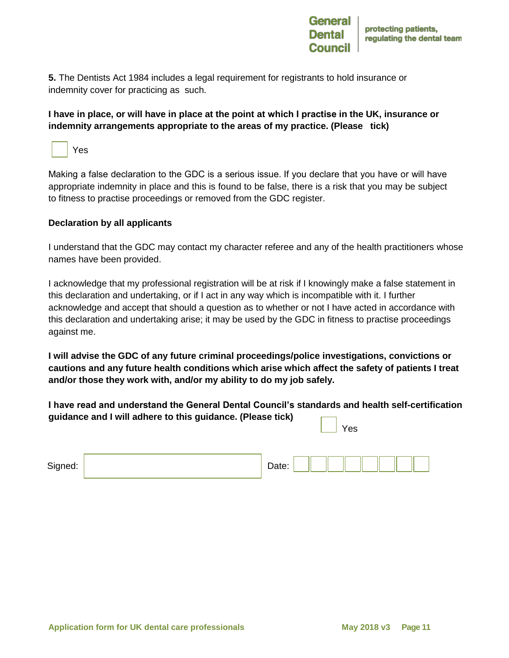

**5.** The Dentists Act 1984 includes a legal requirement for registrants to hold insurance or indemnity cover for practicing as such.

### **I have in place, or will have in place at the point at which I practise in the UK, insurance or indemnity arrangements appropriate to the areas of my practice. (Please tick)**



Making a false declaration to the GDC is a serious issue. If you declare that you have or will have appropriate indemnity in place and this is found to be false, there is a risk that you may be subject to fitness to practise proceedings or removed from the GDC register.

### **Declaration by all applicants**

I understand that the GDC may contact my character referee and any of the health practitioners whose names have been provided.

I acknowledge that my professional registration will be at risk if I knowingly make a false statement in this declaration and undertaking, or if I act in any way which is incompatible with it. I further acknowledge and accept that should a question as to whether or not I have acted in accordance with this declaration and undertaking arise; it may be used by the GDC in fitness to practise proceedings against me.

**I will advise the GDC of any future criminal proceedings/police investigations, convictions or cautions and any future health conditions which arise which affect the safety of patients I treat and/or those they work with, and/or my ability to do my job safely.**

**I have read and understand the General Dental Council's standards and health self-certification guidance and I will adhere to this guidance. (Please tick)**

| Signed:<br>$\sim$ | Date: |  |  |  |  |
|-------------------|-------|--|--|--|--|
|                   |       |  |  |  |  |

Yes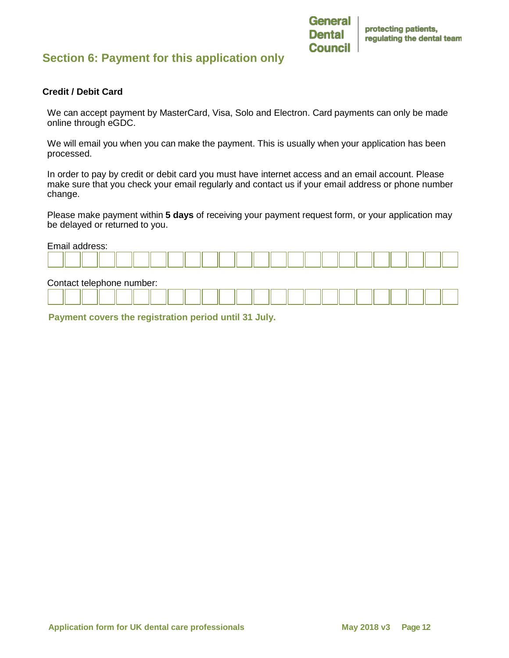

### **Section 6: Payment for this application only**

### **Credit / Debit Card**

We can accept payment by MasterCard, Visa, Solo and Electron. Card payments can only be made online through eGDC.

We will email you when you can make the payment. This is usually when your application has been processed.

In order to pay by credit or debit card you must have internet access and an email account. Please make sure that you check your email regularly and contact us if your email address or phone number change.

Please make payment within **5 days** of receiving your payment request form, or your application may be delayed or returned to you.

Email address:

| __ |  |  |  |  |  |  |  |  |  |  |  |  |  |  |  |  |  |
|----|--|--|--|--|--|--|--|--|--|--|--|--|--|--|--|--|--|
|    |  |  |  |  |  |  |  |  |  |  |  |  |  |  |  |  |  |
|    |  |  |  |  |  |  |  |  |  |  |  |  |  |  |  |  |  |

### Contact telephone number:

| $\mathbf{r}$ | $\mathbf{u}$ and $\mathbf{u}$ and $\mathbf{u}$                                                                                          |  |
|--------------|-----------------------------------------------------------------------------------------------------------------------------------------|--|
|              |                                                                                                                                         |  |
|              |                                                                                                                                         |  |
|              |                                                                                                                                         |  |
|              |                                                                                                                                         |  |
|              |                                                                                                                                         |  |
|              | $\mathbf{H}$ . The set of $\mathbf{H}$ is the set of $\mathbf{H}$ is the set of $\mathbf{H}$ is the set of $\mathbf{H}$<br>$\mathbf{r}$ |  |
|              |                                                                                                                                         |  |

**Payment covers the registration period until 31 July.**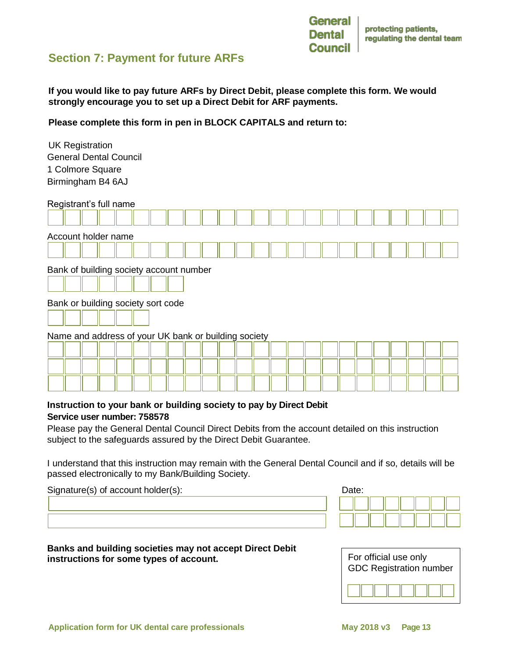### General **Dental** Council

### **Section 7: Payment for future ARFs**

**If you would like to pay future ARFs by Direct Debit, please complete this form. We would strongly encourage you to set up a Direct Debit for ARF payments.**

**Please complete this form in pen in BLOCK CAPITALS and return to:**

UK Registration General Dental Council 1 Colmore Square Birmingham B4 6AJ Registrant's full name Account holder name Bank of building society account number Bank or building society sort code Name and address of your UK bank or building society

### **Instruction to your bank or building society to pay by Direct Debit Service user number: 758578**

Please pay the General Dental Council Direct Debits from the account detailed on this instruction subject to the safeguards assured by the Direct Debit Guarantee.

I understand that this instruction may remain with the General Dental Council and if so, details will be passed electronically to my Bank/Building Society.

| Signature(s) of account holder(s): |  |  |  |  |  |  |
|------------------------------------|--|--|--|--|--|--|
|                                    |  |  |  |  |  |  |
|                                    |  |  |  |  |  |  |

**Banks and building societies may not accept Direct Debit**  instructions for some types of account.

| Date: |  |  |  |  |  |  |  |  |  |  |
|-------|--|--|--|--|--|--|--|--|--|--|
|       |  |  |  |  |  |  |  |  |  |  |
|       |  |  |  |  |  |  |  |  |  |  |
|       |  |  |  |  |  |  |  |  |  |  |

| For official use only<br><b>GDC Registration number</b> |
|---------------------------------------------------------|
|                                                         |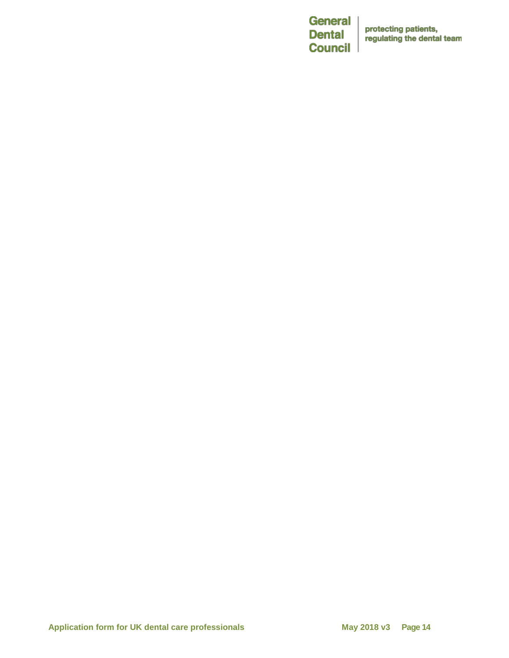General | **Dental** Council

protecting patients, regulating the dental team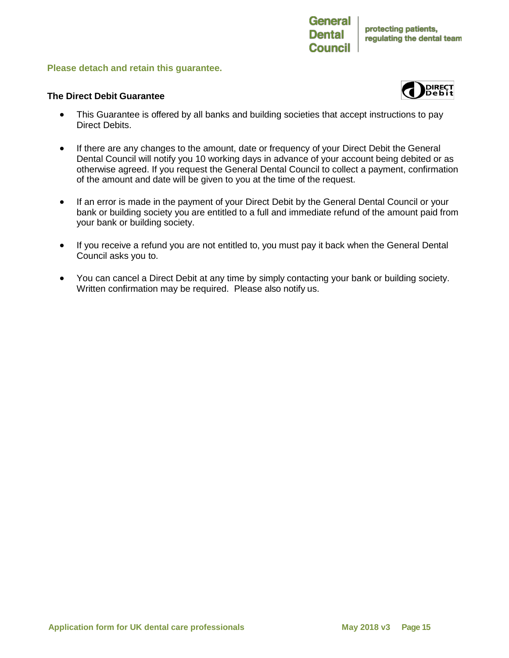#### **Please detach and retain this guarantee.**

# DIRECT<br>Debit

#### **The Direct Debit Guarantee**

- This Guarantee is offered by all banks and building societies that accept instructions to pay Direct Debits.
- If there are any changes to the amount, date or frequency of your Direct Debit the General Dental Council will notify you 10 working days in advance of your account being debited or as otherwise agreed. If you request the General Dental Council to collect a payment, confirmation of the amount and date will be given to you at the time of the request.
- If an error is made in the payment of your Direct Debit by the General Dental Council or your bank or building society you are entitled to a full and immediate refund of the amount paid from your bank or building society.
- If you receive a refund you are not entitled to, you must pay it back when the General Dental Council asks you to.
- You can cancel a Direct Debit at any time by simply contacting your bank or building society. Written confirmation may be required. Please also notify us.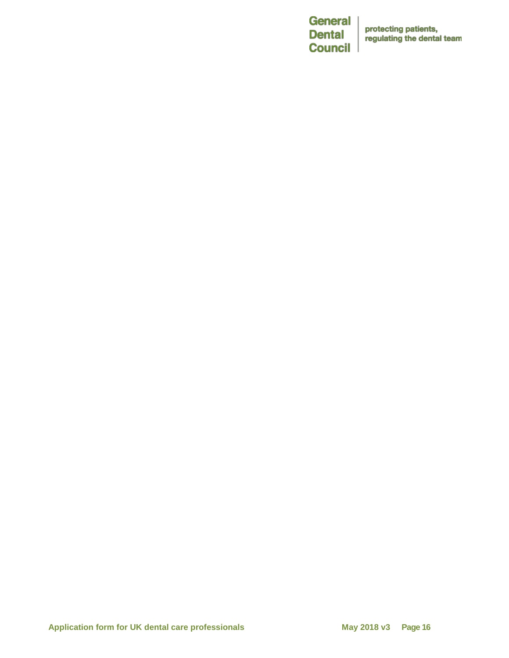General | **Dental** Council

protecting patients, regulating the dental team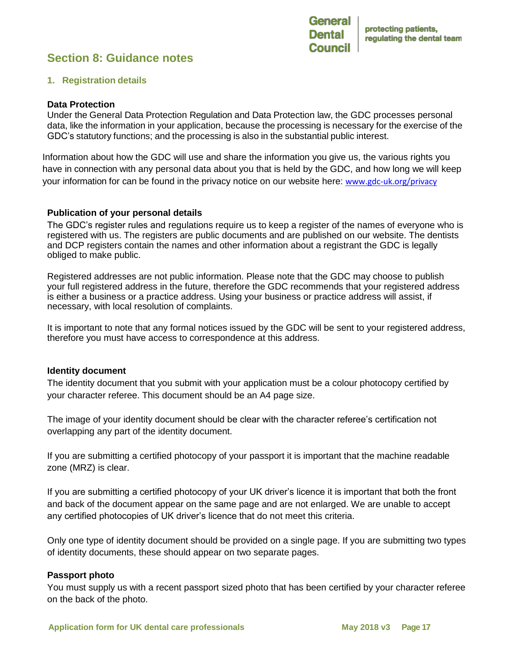General Dental Council

### **Section 8: Guidance notes**

### **1. Registration details**

#### **Data Protection**

Under the General Data Protection Regulation and Data Protection law, the GDC processes personal data, like the information in your application, because the processing is necessary for the exercise of the GDC's statutory functions; and the processing is also in the substantial public interest.

Information about how the GDC will use and share the information you give us, the various rights you have in connection with any personal data about you that is held by the GDC, and how long we will keep your information for can be found in the privacy notice on our website here: [www.gdc-uk.org/privacy](http://www.gdc-uk.org/privacy)

#### **Publication of your personal details**

The GDC's register rules and regulations require us to keep a register of the names of everyone who is registered with us. The registers are public documents and are published on our website. The dentists and DCP registers contain the names and other information about a registrant the GDC is legally obliged to make public.

Registered addresses are not public information. Please note that the GDC may choose to publish your full registered address in the future, therefore the GDC recommends that your registered address is either a business or a practice address. Using your business or practice address will assist, if necessary, with local resolution of complaints.

It is important to note that any formal notices issued by the GDC will be sent to your registered address, therefore you must have access to correspondence at this address.

#### **Identity document**

The identity document that you submit with your application must be a colour photocopy certified by your character referee. This document should be an A4 page size.

The image of your identity document should be clear with the character referee's certification not overlapping any part of the identity document.

If you are submitting a certified photocopy of your passport it is important that the machine readable zone (MRZ) is clear.

If you are submitting a certified photocopy of your UK driver's licence it is important that both the front and back of the document appear on the same page and are not enlarged. We are unable to accept any certified photocopies of UK driver's licence that do not meet this criteria.

Only one type of identity document should be provided on a single page. If you are submitting two types of identity documents, these should appear on two separate pages.

#### **Passport photo**

You must supply us with a recent passport sized photo that has been certified by your character referee on the back of the photo.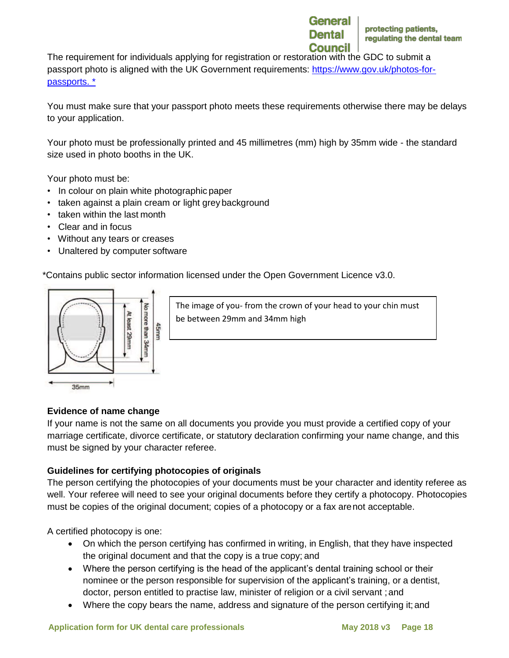

The requirement for individuals applying for registration or restoration with the GDC to submit a passport photo is aligned with the UK Government requirements: https:/[/www.gov.uk/photos-for](http://www.gov.uk/photos-for-)passports. \*

You must make sure that your passport photo meets these requirements otherwise there may be delays to your application.

Your photo must be professionally printed and 45 millimetres (mm) high by 35mm wide - the standard size used in photo booths in the UK.

Your photo must be:

- In colour on plain white photographic paper
- taken against a plain cream or light grey background
- taken within the last month
- Clear and in focus
- Without any tears or creases
- Unaltered by computer software

\*Contains public sector information licensed under the Open Government Licence v3.0.



The image of you- from the crown of your head to your chin must be between 29mm and 34mm high

### **Evidence of name change**

If your name is not the same on all documents you provide you must provide a certified copy of your marriage certificate, divorce certificate, or statutory declaration confirming your name change, and this must be signed by your character referee.

### **Guidelines for certifying photocopies of originals**

The person certifying the photocopies of your documents must be your character and identity referee as well. Your referee will need to see your original documents before they certify a photocopy. Photocopies must be copies of the original document; copies of a photocopy or a fax arenot acceptable.

A certified photocopy is one:

- On which the person certifying has confirmed in writing, in English, that they have inspected the original document and that the copy is a true copy; and
- Where the person certifying is the head of the applicant's dental training school or their nominee or the person responsible for supervision of the applicant's training, or a dentist, doctor, person entitled to practise law, minister of religion or a civil servant ;and
- Where the copy bears the name, address and signature of the person certifying it; and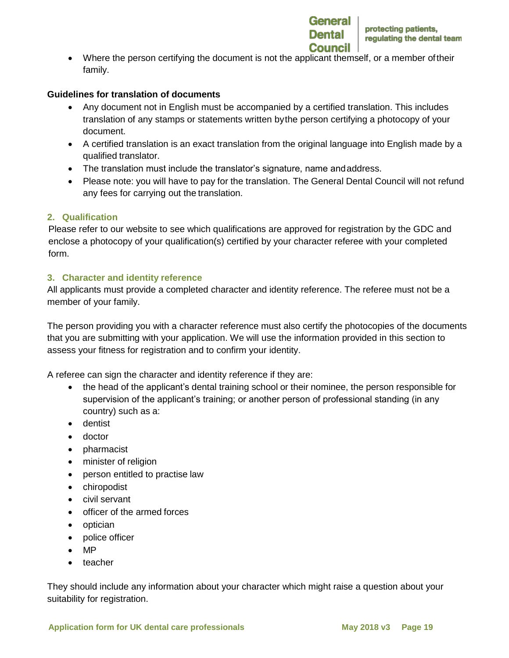

• Where the person certifying the document is not the applicant themself, or a member of their family.

### **Guidelines for translation of documents**

- Any document not in English must be accompanied by a certified translation. This includes translation of any stamps or statements written bythe person certifying a photocopy of your document.
- A certified translation is an exact translation from the original language into English made by a qualified translator.
- The translation must include the translator's signature, name andaddress.
- Please note: you will have to pay for the translation. The General Dental Council will not refund any fees for carrying out the translation.

### **2. Qualification**

Please refer to our website to see which qualifications are approved for registration by the GDC and enclose a photocopy of your qualification(s) certified by your character referee with your completed form.

### **3. Character and identity reference**

All applicants must provide a completed character and identity reference. The referee must not be a member of your family.

The person providing you with a character reference must also certify the photocopies of the documents that you are submitting with your application. We will use the information provided in this section to assess your fitness for registration and to confirm your identity.

A referee can sign the character and identity reference if they are:

- the head of the applicant's dental training school or their nominee, the person responsible for supervision of the applicant's training; or another person of professional standing (in any country) such as a:
- dentist
- doctor
- pharmacist
- minister of religion
- person entitled to practise law
- chiropodist
- civil servant
- officer of the armed forces
- optician
- police officer
- MP
- teacher

They should include any information about your character which might raise a question about your suitability for registration.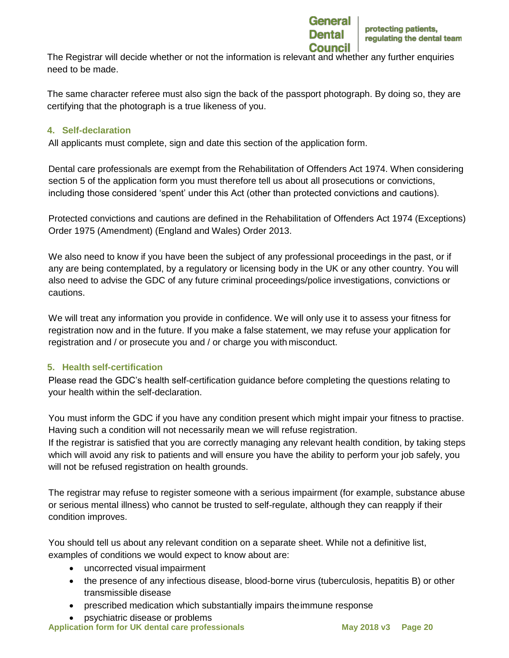

The Registrar will decide whether or not the information is relevant and whether any further enquiries need to be made.

The same character referee must also sign the back of the passport photograph. By doing so, they are certifying that the photograph is a true likeness of you.

### **4. Self-declaration**

All applicants must complete, sign and date this section of the application form.

Dental care professionals are exempt from the Rehabilitation of Offenders Act 1974. When considering section 5 of the application form you must therefore tell us about all prosecutions or convictions, including those considered 'spent' under this Act (other than protected convictions and cautions).

Protected convictions and cautions are defined in the Rehabilitation of Offenders Act 1974 (Exceptions) Order 1975 (Amendment) (England and Wales) Order 2013.

We also need to know if you have been the subject of any professional proceedings in the past, or if any are being contemplated, by a regulatory or licensing body in the UK or any other country. You will also need to advise the GDC of any future criminal proceedings/police investigations, convictions or cautions.

We will treat any information you provide in confidence. We will only use it to assess your fitness for registration now and in the future. If you make a false statement, we may refuse your application for registration and / or prosecute you and / or charge you with misconduct.

### **5. Health self-certification**

Please read the GDC's health self-certification guidance before completing the questions relating to your health within the self-declaration.

You must inform the GDC if you have any condition present which might impair your fitness to practise. Having such a condition will not necessarily mean we will refuse registration.

If the registrar is satisfied that you are correctly managing any relevant health condition, by taking steps which will avoid any risk to patients and will ensure you have the ability to perform your job safely, you will not be refused registration on health grounds.

The registrar may refuse to register someone with a serious impairment (for example, substance abuse or serious mental illness) who cannot be trusted to self-regulate, although they can reapply if their condition improves.

You should tell us about any relevant condition on a separate sheet. While not a definitive list, examples of conditions we would expect to know about are:

- uncorrected visual impairment
- the presence of any infectious disease, blood-borne virus (tuberculosis, hepatitis B) or other transmissible disease
- prescribed medication which substantially impairs theimmune response
- psychiatric disease or problems

**Application form for UK dental care professionals May 2018 v3 Page 20**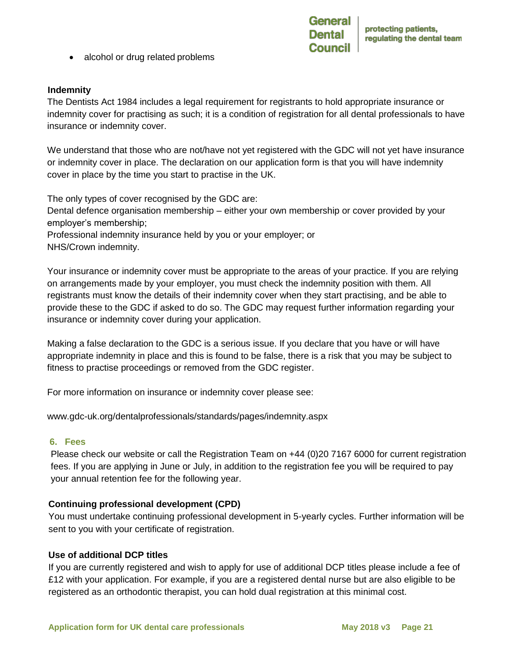• alcohol or drug related problems

#### **Indemnity**

The Dentists Act 1984 includes a legal requirement for registrants to hold appropriate insurance or indemnity cover for practising as such; it is a condition of registration for all dental professionals to have insurance or indemnity cover.

We understand that those who are not/have not yet registered with the GDC will not yet have insurance or indemnity cover in place. The declaration on our application form is that you will have indemnity cover in place by the time you start to practise in the UK.

The only types of cover recognised by the GDC are: Dental defence organisation membership – either your own membership or cover provided by your employer's membership; Professional indemnity insurance held by you or your employer; or

NHS/Crown indemnity.

Your insurance or indemnity cover must be appropriate to the areas of your practice. If you are relying on arrangements made by your employer, you must check the indemnity position with them. All registrants must know the details of their indemnity cover when they start practising, and be able to provide these to the GDC if asked to do so. The GDC may request further information regarding your insurance or indemnity cover during your application.

Making a false declaration to the GDC is a serious issue. If you declare that you have or will have appropriate indemnity in place and this is found to be false, there is a risk that you may be subject to fitness to practise proceedings or removed from the GDC register.

For more information on insurance or indemnity cover please see:

[www.gdc-uk.org/dentalprofessionals/standards/pages/indemnity.aspx](http://www.gdc-uk.org/dentalprofessionals/standards/pages/indemnity.aspx)

### **6. Fees**

Please check our website or call the Registration Team on +44 (0)20 7167 6000 for current registration fees. If you are applying in June or July, in addition to the registration fee you will be required to pay your annual retention fee for the following year.

### **Continuing professional development (CPD)**

You must undertake continuing professional development in 5-yearly cycles. Further information will be sent to you with your certificate of registration.

#### **Use of additional DCP titles**

If you are currently registered and wish to apply for use of additional DCP titles please include a fee of £12 with your application. For example, if you are a registered dental nurse but are also eligible to be registered as an orthodontic therapist, you can hold dual registration at this minimal cost.

General **Dental** Council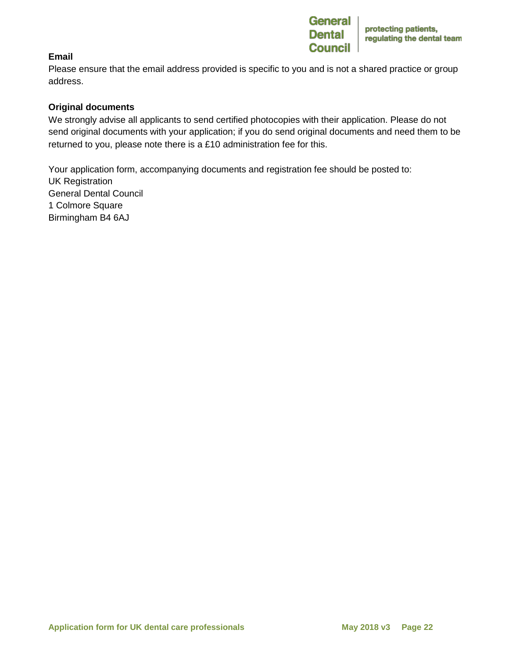### **Email**

General **Dental** Council |

Please ensure that the email address provided is specific to you and is not a shared practice or group address.

### **Original documents**

We strongly advise all applicants to send certified photocopies with their application. Please do not send original documents with your application; if you do send original documents and need them to be returned to you, please note there is a £10 administration fee for this.

Your application form, accompanying documents and registration fee should be posted to: UK Registration General Dental Council 1 Colmore Square Birmingham B4 6AJ